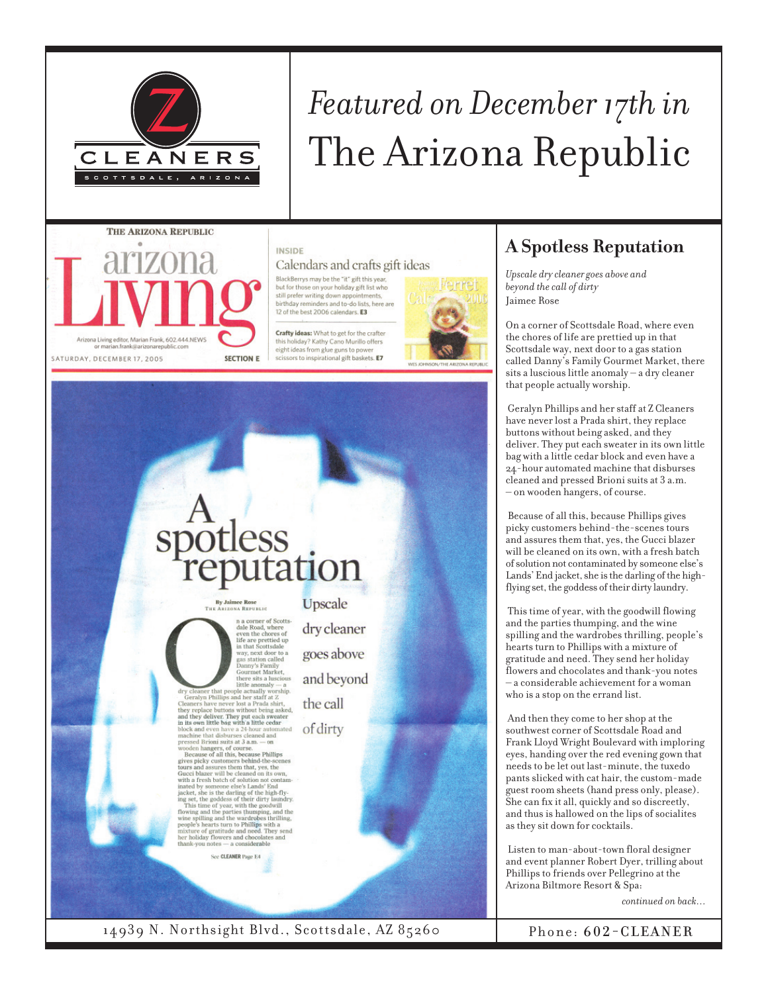

# *Featured on December 17th in* The Arizona Republic



#### **INSIDE**

#### Calendars and crafts gift ideas

BlackBerrys may be the "it" gift this year, but for those on your holiday gift list who<br>still prefer writing down appointments, birthday reminders and to-do lists, here are 12 of the best 2006 calendars. E3

Crafty ideas: What to get for the crafter this holiday? Kathy Cano Murillo offers eight ideas from glue guns to power<br>scissors to inspirational gift baskets. E7



## spotless putation

By Jaimee Rose<br>Arizona Republic

n a corner of Scotts<br>dale Road, where<br>even the chores of<br>life are prettied up<br>in that Scottsdale dry cleaner goes above was, near down to the bany is a station called bany's Family sizes station called Counter that prople actually worship. Geralyn Phillips and her starf a  $\mathbb Z$  there is the prople actually worship. The prople actually the vay, next door to a<br>;as station called and beyond the call of dirty

Upscale

**A Spotless Reputation**  *Upscale dry cleaner goes above and beyond the call of dirty*

Jaimee Rose

On a corner of Scottsdale Road, where even the chores of life are prettied up in that Scottsdale way, next door to a gas station called Danny's Family Gourmet Market, there sits a luscious little anomaly – a dry cleaner that people actually worship.

 Geralyn Phillips and her staff at Z Cleaners have never lost a Prada shirt, they replace buttons without being asked, and they deliver. They put each sweater in its own little bag with a little cedar block and even have a 24-hour automated machine that disburses cleaned and pressed Brioni suits at 3 a.m. – on wooden hangers, of course.

 Because of all this, because Phillips gives picky customers behind-the-scenes tours and assures them that, yes, the Gucci blazer will be cleaned on its own, with a fresh batch of solution not contaminated by someone else's Lands' End jacket, she is the darling of the highflying set, the goddess of their dirty laundry.

 This time of year, with the goodwill flowing and the parties thumping, and the wine spilling and the wardrobes thrilling, people's hearts turn to Phillips with a mixture of gratitude and need. They send her holiday flowers and chocolates and thank-you notes – a considerable achievement for a woman who is a stop on the errand list.

 And then they come to her shop at the southwest corner of Scottsdale Road and Frank Lloyd Wright Boulevard with imploring eyes, handing over the red evening gown that needs to be let out last-minute, the tuxedo pants slicked with cat hair, the custom-made guest room sheets (hand press only, please). She can fix it all, quickly and so discreetly, and thus is hallowed on the lips of socialites as they sit down for cocktails.

 Listen to man-about-town floral designer and event planner Robert Dyer, trilling about Phillips to friends over Pellegrino at the Arizona Biltmore Resort & Spa:

*continued on back…*

14939 N. Northsight Blvd., Scottsdale, AZ 85260 Phone: 602-CLEANER

See CLEANER Page E4